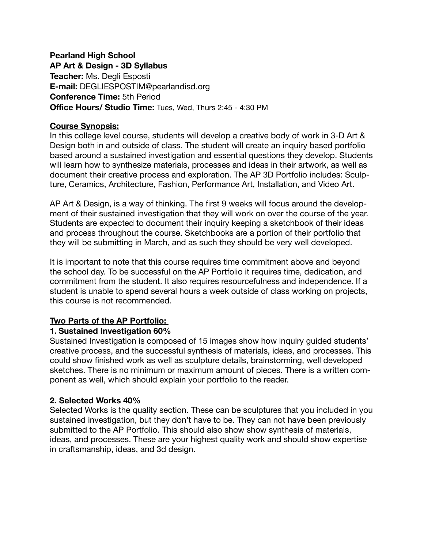## **Pearland High School**

**AP Art & Design - 3D Syllabus Teacher:** Ms. Degli Esposti **E-mail:** DEGLIESPOSTIM@pearlandisd.org **Conference Time:** 5th Period **Office Hours/ Studio Time:** Tues, Wed, Thurs 2:45 - 4:30 PM

#### **Course Synopsis:**

In this college level course, students will develop a creative body of work in 3-D Art & Design both in and outside of class. The student will create an inquiry based portfolio based around a sustained investigation and essential questions they develop. Students will learn how to synthesize materials, processes and ideas in their artwork, as well as document their creative process and exploration. The AP 3D Portfolio includes: Sculpture, Ceramics, Architecture, Fashion, Performance Art, Installation, and Video Art.

AP Art & Design, is a way of thinking. The first 9 weeks will focus around the development of their sustained investigation that they will work on over the course of the year. Students are expected to document their inquiry keeping a sketchbook of their ideas and process throughout the course. Sketchbooks are a portion of their portfolio that they will be submitting in March, and as such they should be very well developed.

It is important to note that this course requires time commitment above and beyond the school day. To be successful on the AP Portfolio it requires time, dedication, and commitment from the student. It also requires resourcefulness and independence. If a student is unable to spend several hours a week outside of class working on projects, this course is not recommended.

#### **Two Parts of the AP Portfolio:**

#### **1. Sustained Investigation 60%**

Sustained Investigation is composed of 15 images show how inquiry guided students' creative process, and the successful synthesis of materials, ideas, and processes. This could show finished work as well as sculpture details, brainstorming, well developed sketches. There is no minimum or maximum amount of pieces. There is a written component as well, which should explain your portfolio to the reader.

## **2. Selected Works 40%**

Selected Works is the quality section. These can be sculptures that you included in you sustained investigation, but they don't have to be. They can not have been previously submitted to the AP Portfolio. This should also show show synthesis of materials, ideas, and processes. These are your highest quality work and should show expertise in craftsmanship, ideas, and 3d design.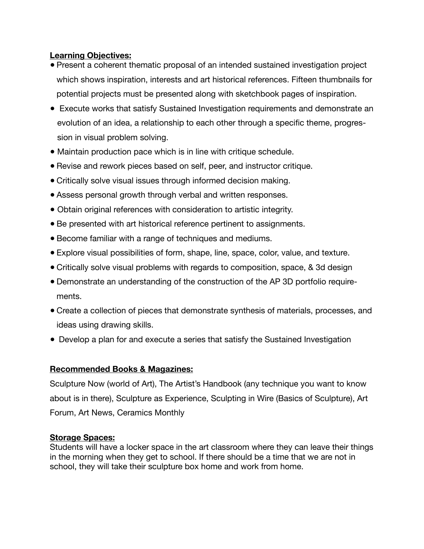## **Learning Objectives:**

- Present a coherent thematic proposal of an intended sustained investigation project which shows inspiration, interests and art historical references. Fifteen thumbnails for potential projects must be presented along with sketchbook pages of inspiration.
- Execute works that satisfy Sustained Investigation requirements and demonstrate an evolution of an idea, a relationship to each other through a specific theme, progression in visual problem solving.
- Maintain production pace which is in line with critique schedule.
- Revise and rework pieces based on self, peer, and instructor critique.
- Critically solve visual issues through informed decision making.
- Assess personal growth through verbal and written responses.
- Obtain original references with consideration to artistic integrity.
- Be presented with art historical reference pertinent to assignments.
- Become familiar with a range of techniques and mediums.
- Explore visual possibilities of form, shape, line, space, color, value, and texture.
- Critically solve visual problems with regards to composition, space, & 3d design
- Demonstrate an understanding of the construction of the AP 3D portfolio requirements.
- Create a collection of pieces that demonstrate synthesis of materials, processes, and ideas using drawing skills.
- Develop a plan for and execute a series that satisfy the Sustained Investigation

## **Recommended Books & Magazines:**

Sculpture Now (world of Art), The Artist's Handbook (any technique you want to know about is in there), Sculpture as Experience, Sculpting in Wire (Basics of Sculpture), Art Forum, Art News, Ceramics Monthly

## **Storage Spaces:**

Students will have a locker space in the art classroom where they can leave their things in the morning when they get to school. If there should be a time that we are not in school, they will take their sculpture box home and work from home.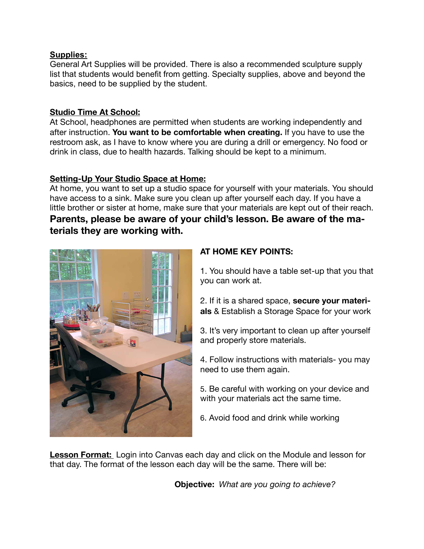#### **Supplies:**

General Art Supplies will be provided. There is also a recommended sculpture supply list that students would benefit from getting. Specialty supplies, above and beyond the basics, need to be supplied by the student.

## **Studio Time At School:**

At School, headphones are permitted when students are working independently and after instruction. **You want to be comfortable when creating.** If you have to use the restroom ask, as I have to know where you are during a drill or emergency. No food or drink in class, due to health hazards. Talking should be kept to a minimum.

## **Setting-Up Your Studio Space at Home:**

At home, you want to set up a studio space for yourself with your materials. You should have access to a sink. Make sure you clean up after yourself each day. If you have a little brother or sister at home, make sure that your materials are kept out of their reach. **Parents, please be aware of your child's lesson. Be aware of the materials they are working with.** 



## **AT HOME KEY POINTS:**

1. You should have a table set-up that you that you can work at.

2. If it is a shared space, **secure your materials** & Establish a Storage Space for your work

3. It's very important to clean up after yourself and properly store materials.

4. Follow instructions with materials- you may need to use them again.

5. Be careful with working on your device and with your materials act the same time.

6. Avoid food and drink while working

**Lesson Format:** Login into Canvas each day and click on the Module and lesson for that day. The format of the lesson each day will be the same. There will be:

**Objective:** *What are you going to achieve?*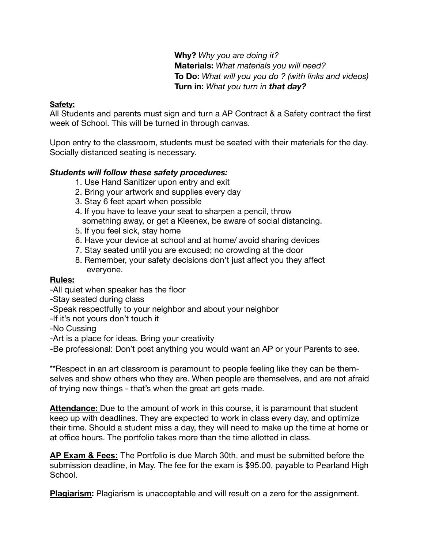**Why?** *Why you are doing it?*  **Materials:** *What materials you will need?*  **To Do:** *What will you you do ? (with links and videos)* **Turn in:** *What you turn in that day?* 

#### **Safety:**

All Students and parents must sign and turn a AP Contract & a Safety contract the first week of School. This will be turned in through canvas.

Upon entry to the classroom, students must be seated with their materials for the day. Socially distanced seating is necessary.

#### *Students will follow these safety procedures:*

- 1. Use Hand Sanitizer upon entry and exit
- 2. Bring your artwork and supplies every day
- 3. Stay 6 feet apart when possible
- 4. If you have to leave your seat to sharpen a pencil, throw something away, or get a Kleenex, be aware of social distancing.
- 5. If you feel sick, stay home
- 6. Have your device at school and at home/ avoid sharing devices
- 7. Stay seated until you are excused; no crowding at the door
- 8. Remember, your safety decisions don't just affect you they affect everyone.

#### **Rules:**

- -All quiet when speaker has the floor
- -Stay seated during class
- -Speak respectfully to your neighbor and about your neighbor
- -If it's not yours don't touch it
- -No Cussing
- -Art is a place for ideas. Bring your creativity

-Be professional: Don't post anything you would want an AP or your Parents to see.

\*\*Respect in an art classroom is paramount to people feeling like they can be themselves and show others who they are. When people are themselves, and are not afraid of trying new things - that's when the great art gets made.

**Attendance:** Due to the amount of work in this course, it is paramount that student keep up with deadlines. They are expected to work in class every day, and optimize their time. Should a student miss a day, they will need to make up the time at home or at office hours. The portfolio takes more than the time allotted in class.

**AP Exam & Fees:** The Portfolio is due March 30th, and must be submitted before the submission deadline, in May. The fee for the exam is \$95.00, payable to Pearland High School.

**Plagiarism:** Plagiarism is unacceptable and will result on a zero for the assignment.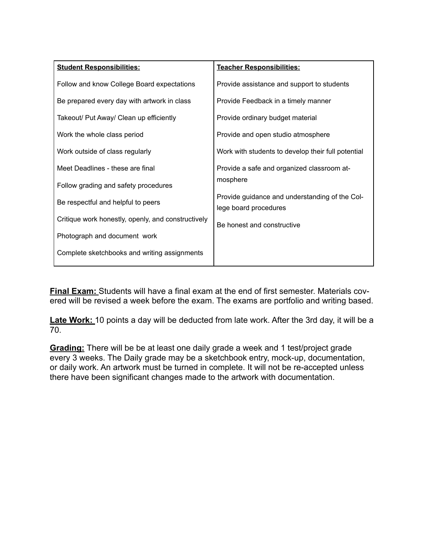| <b>Student Responsibilities:</b>                   | Teacher Responsibilities:                                               |
|----------------------------------------------------|-------------------------------------------------------------------------|
| Follow and know College Board expectations         | Provide assistance and support to students                              |
| Be prepared every day with artwork in class        | Provide Feedback in a timely manner                                     |
| Takeout/ Put Away/ Clean up efficiently            | Provide ordinary budget material                                        |
| Work the whole class period                        | Provide and open studio atmosphere                                      |
| Work outside of class regularly                    | Work with students to develop their full potential                      |
| Meet Deadlines - these are final                   | Provide a safe and organized classroom at-<br>mosphere                  |
| Follow grading and safety procedures               |                                                                         |
| Be respectful and helpful to peers                 | Provide guidance and understanding of the Col-<br>lege board procedures |
| Critique work honestly, openly, and constructively | Be honest and constructive                                              |
| Photograph and document work                       |                                                                         |
| Complete sketchbooks and writing assignments       |                                                                         |

**Final Exam:** Students will have a final exam at the end of first semester. Materials covered will be revised a week before the exam. The exams are portfolio and writing based.

**Late Work:** 10 points a day will be deducted from late work. After the 3rd day, it will be a 70.

**Grading:** There will be be at least one daily grade a week and 1 test/project grade every 3 weeks. The Daily grade may be a sketchbook entry, mock-up, documentation, or daily work. An artwork must be turned in complete. It will not be re-accepted unless there have been significant changes made to the artwork with documentation.